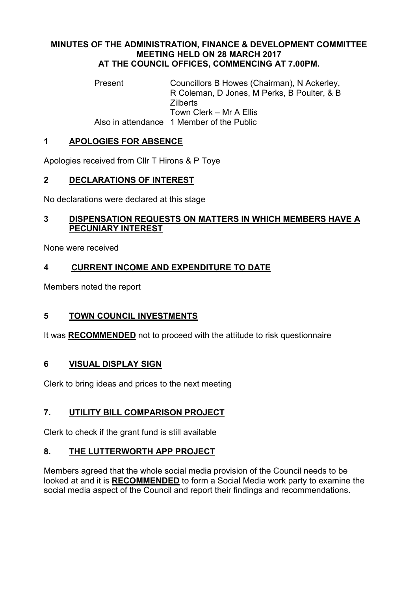#### MINUTES OF THE ADMINISTRATION, FINANCE & DEVELOPMENT COMMITTEE MEETING HELD ON 28 MARCH 2017 AT THE COUNCIL OFFICES, COMMENCING AT 7.00PM.

Present Councillors B Howes (Chairman), N Ackerley, R Coleman, D Jones, M Perks, B Poulter, & B **Zilberts** Town Clerk – Mr A Ellis Also in attendance 1 Member of the Public

# 1 APOLOGIES FOR ABSENCE

Apologies received from Cllr T Hirons & P Toye

# 2 DECLARATIONS OF INTEREST

No declarations were declared at this stage

### 3 DISPENSATION REQUESTS ON MATTERS IN WHICH MEMBERS HAVE A PECUNIARY INTEREST

None were received

# 4 CURRENT INCOME AND EXPENDITURE TO DATE

Members noted the report

### 5 TOWN COUNCIL INVESTMENTS

It was RECOMMENDED not to proceed with the attitude to risk questionnaire

### 6 VISUAL DISPLAY SIGN

Clerk to bring ideas and prices to the next meeting

# 7. UTILITY BILL COMPARISON PROJECT

Clerk to check if the grant fund is still available

### 8. THE LUTTERWORTH APP PROJECT

Members agreed that the whole social media provision of the Council needs to be looked at and it is RECOMMENDED to form a Social Media work party to examine the social media aspect of the Council and report their findings and recommendations.